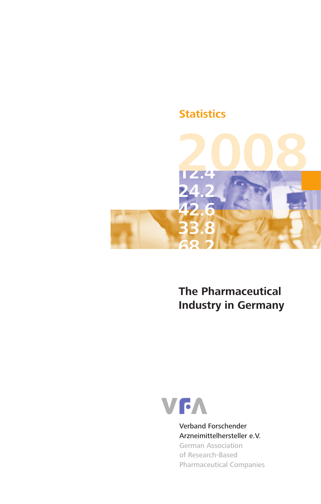# **Statistics**



**The Pharmaceutical Industry in Germany**



Verband Forschender Arzneimittelhersteller e.V. German Association of Research-Based Pharmaceutical Companies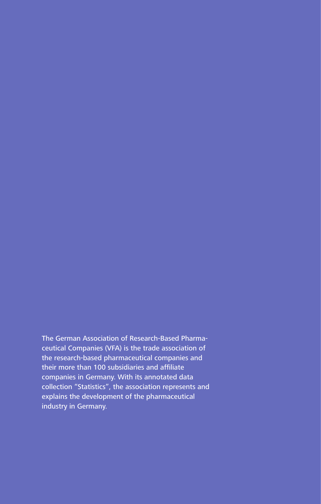The German Association of Research-Based Pharmaceutical Companies (VFA) is the trade association of the research-based pharmaceutical companies and their more than 100 subsidiaries and affiliate companies in Germany. With its annotated data collection "Statistics", the association represents and explains the development of the pharmaceutical industry in Germany.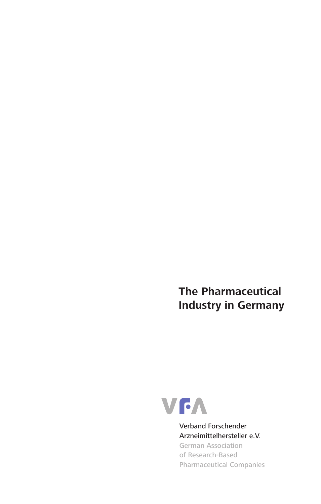**The Pharmaceutical Industry in Germany**



Verband Forschender Arzneimittelhersteller e.V. German Association of Research-Based Pharmaceutical Companies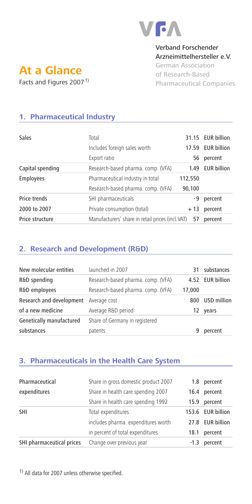

#### Verband Forschender Arzneimittelhersteller e.V.

German Association of Research-Based Pharmaceutical Companies

# **At a Glance** Facts and Figures 2007<sup>1)</sup>

# **1. Pharmaceutical Industry**

| Sales            | Total<br>Includes foreign sales worth             | 17.59   | 31.15 EUR billion<br><b>EUR billion</b> |
|------------------|---------------------------------------------------|---------|-----------------------------------------|
|                  | Export ratio                                      | 56      | percent                                 |
| Capital spending | Research-based pharma. comp. (VFA)                | 1.49    | <b>EUR billion</b>                      |
| <b>Employees</b> | Pharmaceutical industry in total                  | 112,550 |                                         |
|                  | Research-based pharma. comp. (VFA)                | 90,100  |                                         |
| Price trends     | SHI pharmaceuticals                               | -9      | percent                                 |
| 2000 to 2007     | Private consumption (total)                       | + 13    | percent                                 |
| Price structure  | Manufacturers' share in retail prices (incl. VAT) | 57      | percent                                 |

# **2. Research and Development (R&D)**

| New molecular entities                | launched in 2007                   | 31     | substances       |
|---------------------------------------|------------------------------------|--------|------------------|
| R&D spending                          | Research-based pharma. comp. (VFA) |        | 4.52 EUR billion |
| R&D employees                         | Research-based pharma. comp. (VFA) | 17,000 |                  |
| Research and development Average cost |                                    | 800    | USD million      |
| of a new medicine                     | Average R&D period                 | 12.    | years            |
| Genetically manufactured              | Share of Germany in registered     |        |                  |
| substances                            | patents                            | 9      | percent          |

# **3. Pharmaceuticals in the Health Care System**

| Pharmaceutical            | Share in gross domestic product 2007 | 1.8    | percent           |
|---------------------------|--------------------------------------|--------|-------------------|
| expenditures              | Share in health care spending 2007   |        | percent<br>16.4   |
|                           | Share in health care spending 1992   | 15.9   | percent           |
| SHI                       | Total expenditures                   |        | 153.6 EUR billion |
|                           | includes pharma. expenditures worth  |        | 27.8 EUR billion  |
|                           | in percent of total expenditures     | 18.1   | percent           |
| SHI pharmaceutical prices | Change over previous year            | $-1.3$ | percent           |

1) All data for 2007 unless otherwise specified.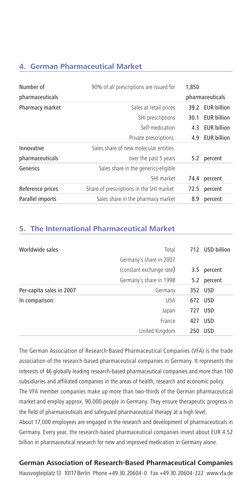#### **4. German Pharmaceutical Market**

| Number of        | 90% of all prescriptions are issued for  | 1,850 |                    |
|------------------|------------------------------------------|-------|--------------------|
| pharmaceuticals  |                                          |       | pharmaceuticals    |
| Pharmacy market  | Sales at retail prices                   | 39.2  | <b>EUR billion</b> |
|                  | SHI prescriptions                        | 30.1  | <b>EUR billion</b> |
|                  | Self-medication                          | 4.3   | <b>EUR billion</b> |
|                  | Private prescriptions                    | 4.9   | <b>EUR billion</b> |
| Innovative       | Sales share of new molecular entities    |       |                    |
| pharmaceuticals  | over the past 5 years                    | 5.2   | percent            |
| Generics         | Sales share in the generics-eligible     |       |                    |
|                  | SHI market                               | 74.4  | percent            |
| Reference prices | Share of prescriptions in the SHI market | 72.5  | percent            |
| Parallel imports | Sales share in the pharmacy market       | 8.9   | percent            |

#### **5. The International Pharmaceutical Market**

| Worldwide sales          | Total                    |     | 712 USD billion |
|--------------------------|--------------------------|-----|-----------------|
|                          | Germany's share in 2007  |     |                 |
|                          | (constant exchange rate) | 3.5 | percent         |
|                          | Germany's share in 1998  | 5.2 | percent         |
| Per-capita sales in 2007 | Germany                  |     | 352 USD         |
| In comparison:           | <b>USA</b>               | 672 | <b>USD</b>      |
|                          | Japan                    | 727 | <b>USD</b>      |
|                          | France                   | 427 | <b>USD</b>      |
|                          | United Kingdom           | 250 | <b>USD</b>      |

The German Association of Research-Based Pharmaceutical Companies (VFA) is the trade association of the research-based pharmaceutical companies in Germany. It represents the interests of 46 globally leading research-based pharmaceutical companies and more than 100 subsidiaries and affiliated companies in the areas of health, research and economic policy.

The VFA member companies make up more than two-thirds of the German pharmaceutical market and employ approx. 90,000 people in Germany. They ensure therapeutic progress in the field of pharmaceuticals and safeguard pharmaceutical therapy at a high level.

About 17,000 employees are engaged in the research and development of pharmaceuticals in Germany. Every year, the research-based pharmaceutical companies invest about EUR 4.52 billion in pharmaceutical research for new and improved medication in Germany alone.

#### **German Association of Research-Based Pharmaceutical Companies**

Hausvogteiplatz 13 10117 Berlin Phone +49 30.20604-0 Fax +49 30.20604-222 www.vfa.de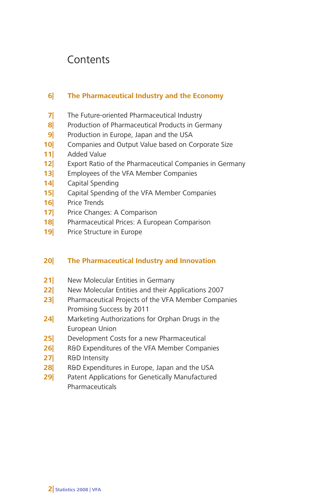# **Contents**

# **6| The Pharmaceutical Industry and the Economy**

- **7|** The Future-oriented Pharmaceutical Industry
- **8|** Production of Pharmaceutical Products in Germany
- **9|** Production in Europe, Japan and the USA
- **10|** Companies and Output Value based on Corporate Size
- **11|** Added Value
- **12|** Export Ratio of the Pharmaceutical Companies in Germany
- **13|** Employees of the VFA Member Companies
- **14|** Capital Spending
- **15|** Capital Spending of the VFA Member Companies
- **16|** Price Trends
- **17|** Price Changes: A Comparison
- **18|** Pharmaceutical Prices: A European Comparison
- **19|** Price Structure in Europe

## **20| The Pharmaceutical Industry and Innovation**

- **21|** New Molecular Entities in Germany
- **22|** New Molecular Entities and their Applications 2007
- **23|** Pharmaceutical Projects of the VFA Member Companies Promising Success by 2011
- **24|** Marketing Authorizations for Orphan Drugs in the European Union
- **25|** Development Costs for a new Pharmaceutical
- **26|** R&D Expenditures of the VFA Member Companies
- **27|** R&D Intensity
- **28|** R&D Expenditures in Europe, Japan and the USA
- **29|** Patent Applications for Genetically Manufactured Pharmaceuticals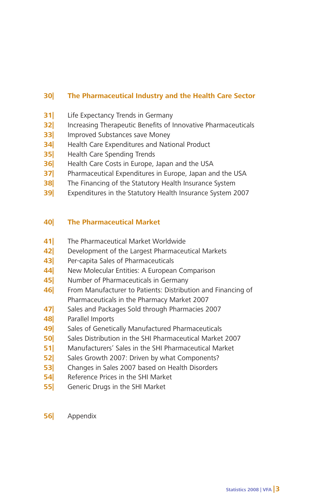# **30| The Pharmaceutical Industry and the Health Care Sector**

- **31|** Life Expectancy Trends in Germany
- **32|** Increasing Therapeutic Benefits of Innovative Pharmaceuticals
- **33|** Improved Substances save Money
- **34|** Health Care Expenditures and National Product
- **35|** Health Care Spending Trends
- **36|** Health Care Costs in Europe, Japan and the USA
- **37|** Pharmaceutical Expenditures in Europe, Japan and the USA
- **38|** The Financing of the Statutory Health Insurance System
- **39|** Expenditures in the Statutory Health Insurance System 2007

## **40| The Pharmaceutical Market**

- **41|** The Pharmaceutical Market Worldwide
- **42|** Development of the Largest Pharmaceutical Markets
- **43|** Per-capita Sales of Pharmaceuticals
- **44|** New Molecular Entities: A European Comparison
- **45|** Number of Pharmaceuticals in Germany
- **46|** From Manufacturer to Patients: Distribution and Financing of Pharmaceuticals in the Pharmacy Market 2007
- **47|** Sales and Packages Sold through Pharmacies 2007
- **48|** Parallel Imports
- **49|** Sales of Genetically Manufactured Pharmaceuticals
- **50|** Sales Distribution in the SHI Pharmaceutical Market 2007
- **51|** Manufacturers' Sales in the SHI Pharmaceutical Market
- **52|** Sales Growth 2007: Driven by what Components?
- **53|** Changes in Sales 2007 based on Health Disorders
- **54|** Reference Prices in the SHI Market
- **55|** Generic Drugs in the SHI Market
- **56|** Appendix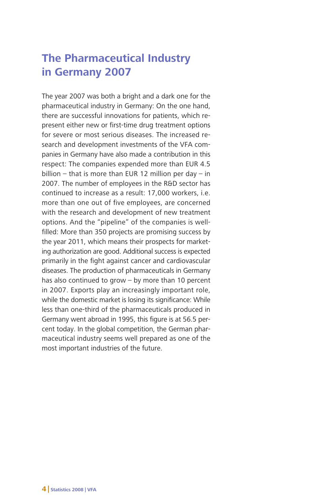# **The Pharmaceutical Industry in Germany 2007**

The year 2007 was both a bright and a dark one for the pharmaceutical industry in Germany: On the one hand, there are successful innovations for patients, which represent either new or first-time drug treatment options for severe or most serious diseases. The increased research and development investments of the VFA companies in Germany have also made a contribution in this respect: The companies expended more than EUR 4.5 billion – that is more than EUR 12 million per day – in 2007. The number of employees in the R&D sector has continued to increase as a result: 17,000 workers, i.e. more than one out of five employees, are concerned with the research and development of new treatment options. And the "pipeline" of the companies is wellfilled: More than 350 projects are promising success by the year 2011, which means their prospects for marketing authorization are good. Additional success is expected primarily in the fight against cancer and cardiovascular diseases. The production of pharmaceuticals in Germany has also continued to grow – by more than 10 percent in 2007. Exports play an increasingly important role, while the domestic market is losing its significance: While less than one-third of the pharmaceuticals produced in Germany went abroad in 1995, this figure is at 56.5 percent today. In the global competition, the German pharmaceutical industry seems well prepared as one of the most important industries of the future.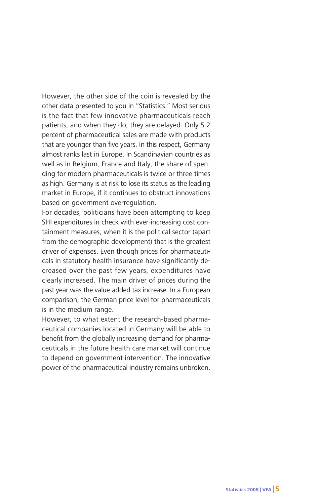However, the other side of the coin is revealed by the other data presented to you in "Statistics." Most serious is the fact that few innovative pharmaceuticals reach patients, and when they do, they are delayed. Only 5.2 percent of pharmaceutical sales are made with products that are younger than five years. In this respect, Germany almost ranks last in Europe. In Scandinavian countries as well as in Belgium, France and Italy, the share of spending for modern pharmaceuticals is twice or three times as high. Germany is at risk to lose its status as the leading market in Europe, if it continues to obstruct innovations based on government overregulation.

For decades, politicians have been attempting to keep SHI expenditures in check with ever-increasing cost containment measures, when it is the political sector (apart from the demographic development) that is the greatest driver of expenses. Even though prices for pharmaceuticals in statutory health insurance have significantly decreased over the past few years, expenditures have clearly increased. The main driver of prices during the past year was the value-added tax increase. In a European comparison, the German price level for pharmaceuticals is in the medium range.

However, to what extent the research-based pharmaceutical companies located in Germany will be able to benefit from the globally increasing demand for pharmaceuticals in the future health care market will continue to depend on government intervention. The innovative power of the pharmaceutical industry remains unbroken.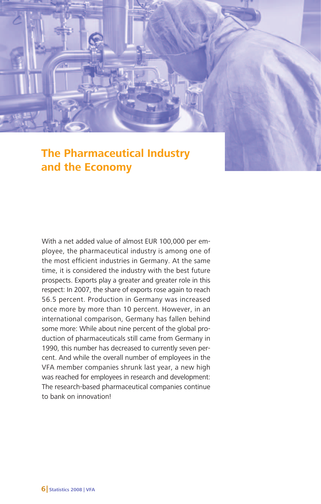

With a net added value of almost EUR 100,000 per employee, the pharmaceutical industry is among one of the most efficient industries in Germany. At the same time, it is considered the industry with the best future prospects. Exports play a greater and greater role in this respect: In 2007, the share of exports rose again to reach 56.5 percent. Production in Germany was increased once more by more than 10 percent. However, in an international comparison, Germany has fallen behind some more: While about nine percent of the global production of pharmaceuticals still came from Germany in 1990, this number has decreased to currently seven percent. And while the overall number of employees in the VFA member companies shrunk last year, a new high was reached for employees in research and development: The research-based pharmaceutical companies continue to bank on innovation!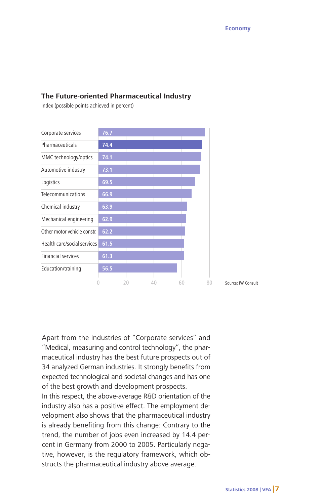#### **The Future-oriented Pharmaceutical Industry**

Index (possible points achieved in percent)



Apart from the industries of "Corporate services" and "Medical, measuring and control technology", the pharmaceutical industry has the best future prospects out of 34 analyzed German industries. It strongly benefits from expected technological and societal changes and has one of the best growth and development prospects.

In this respect, the above-average R&D orientation of the industry also has a positive effect. The employment development also shows that the pharmaceutical industry is already benefiting from this change: Contrary to the trend, the number of jobs even increased by 14.4 percent in Germany from 2000 to 2005. Particularly negative, however, is the regulatory framework, which obstructs the pharmaceutical industry above average.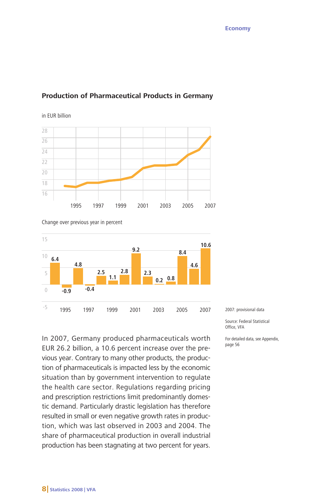#### **Production of Pharmaceutical Products in Germany**



in EUR billion

Change over previous year in percent



In 2007, Germany produced pharmaceuticals worth EUR 26.2 billion, a 10.6 percent increase over the previous year. Contrary to many other products, the production of pharmaceuticals is impacted less by the economic situation than by government intervention to regulate the health care sector. Regulations regarding pricing and prescription restrictions limit predominantly domestic demand. Particularly drastic legislation has therefore resulted in small or even negative growth rates in production, which was last observed in 2003 and 2004. The share of pharmaceutical production in overall industrial production has been stagnating at two percent for years.

2007: provisional data

Source: Federal Statistical Office, VFA

For detailed data, see Appendix, page 56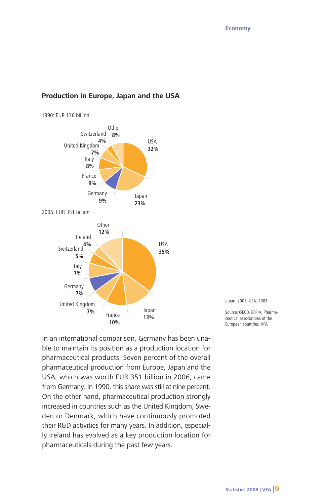#### **Production in Europe, Japan and the USA**

1990: EUR 136 billion



Japan: 2005, USA: 2003

Source: OECD, EFPIA, Pharmaceutical associations of the European countries, VFA

In an international comparison, Germany has been unable to maintain its position as a production location for pharmaceutical products. Seven percent of the overall pharmaceutical production from Europe, Japan and the USA, which was worth EUR 351 billion in 2006, came from Germany. In 1990, this share was still at nine percent. On the other hand, pharmaceutical production strongly increased in countries such as the United Kingdom, Sweden or Denmark, which have continuously promoted their R&D activities for many years. In addition, especially Ireland has evolved as a key production location for pharmaceuticals during the past few years.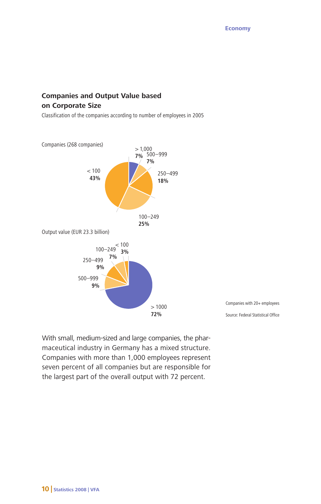# **Companies and Output Value based on Corporate Size**

Classification of the companies according to number of employees in 2005



Companies with 20+ employees

Source: Federal Statistical Office

With small, medium-sized and large companies, the pharmaceutical industry in Germany has a mixed structure. Companies with more than 1,000 employees represent seven percent of all companies but are responsible for the largest part of the overall output with 72 percent.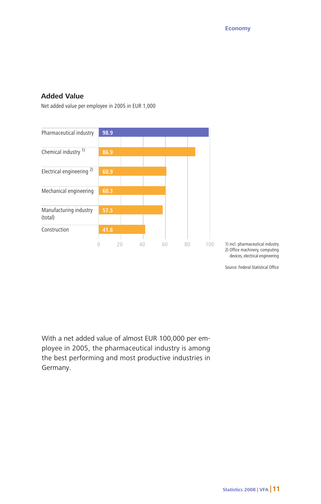#### **Added Value**

Net added value per employee in 2005 in EUR 1,000



1) incl. pharmaceutical industry 2) Office machinery, computing devices, electrical engineering

Source: Federal Statistical Office

With a net added value of almost EUR 100,000 per employee in 2005, the pharmaceutical industry is among the best performing and most productive industries in Germany.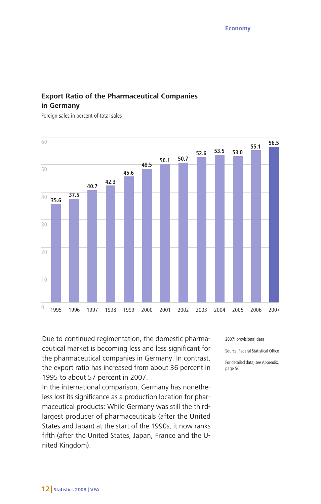# **Export Ratio of the Pharmaceutical Companies in Germany**

Foreign sales in percent of total sales



Due to continued regimentation, the domestic pharmaceutical market is becoming less and less significant for the pharmaceutical companies in Germany. In contrast, the export ratio has increased from about 36 percent in 1995 to about 57 percent in 2007.

In the international comparison, Germany has nonetheless lost its significance as a production location for pharmaceutical products: While Germany was still the thirdlargest producer of pharmaceuticals (after the United States and Japan) at the start of the 1990s, it now ranks fifth (after the United States, Japan, France and the United Kingdom).

2007: provisional data

Source: Federal Statistical Office

For detailed data, see Appendix, page 56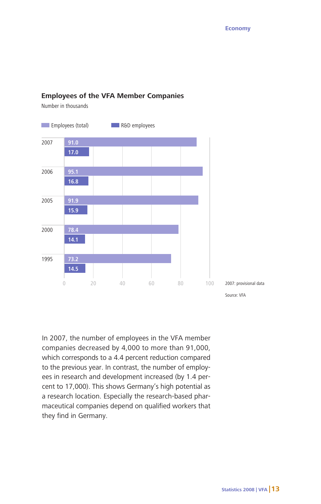#### **Employees of the VFA Member Companies**

Number in thousands



In 2007, the number of employees in the VFA member companies decreased by 4,000 to more than 91,000, which corresponds to a 4.4 percent reduction compared to the previous year. In contrast, the number of employees in research and development increased (by 1.4 percent to 17,000). This shows Germany's high potential as a research location. Especially the research-based pharmaceutical companies depend on qualified workers that they find in Germany.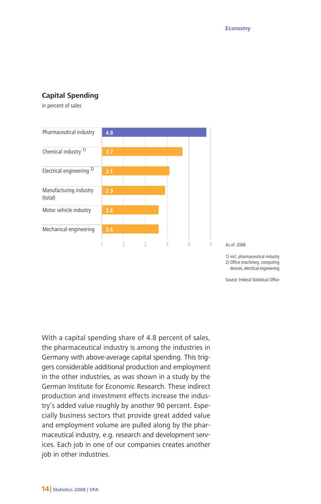#### **Capital Spending**

in percent of sales



As of: 2006

1) incl. pharmaceutical industry 2) Office machinery, computing devices, electrical engineering

Source: Federal Statistical Office

With a capital spending share of 4.8 percent of sales, the pharmaceutical industry is among the industries in Germany with above-average capital spending. This triggers considerable additional production and employment in the other industries, as was shown in a study by the German Institute for Economic Research. These indirect production and investment effects increase the industry's added value roughly by another 90 percent. Especially business sectors that provide great added value and employment volume are pulled along by the pharmaceutical industry, e.g. research and development services. Each job in one of our companies creates another job in other industries.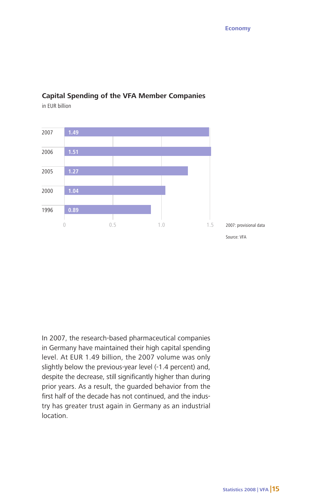

# **Capital Spending of the VFA Member Companies**

in EUR billion

In 2007, the research-based pharmaceutical companies in Germany have maintained their high capital spending level. At EUR 1.49 billion, the 2007 volume was only slightly below the previous-year level (-1.4 percent) and, despite the decrease, still significantly higher than during prior years. As a result, the guarded behavior from the first half of the decade has not continued, and the industry has greater trust again in Germany as an industrial location.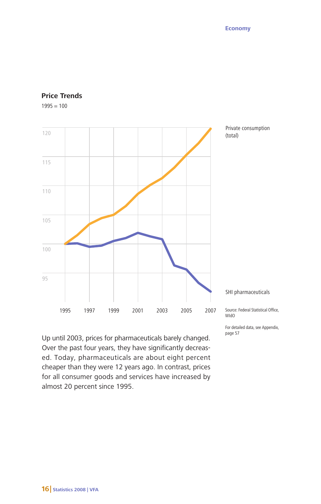

#### **Price Trends**

 $1995 = 100$ 

Up until 2003, prices for pharmaceuticals barely changed. Over the past four years, they have significantly decreased. Today, pharmaceuticals are about eight percent cheaper than they were 12 years ago. In contrast, prices for all consumer goods and services have increased by almost 20 percent since 1995.

WIdO

For detailed data, see Appendix, page 57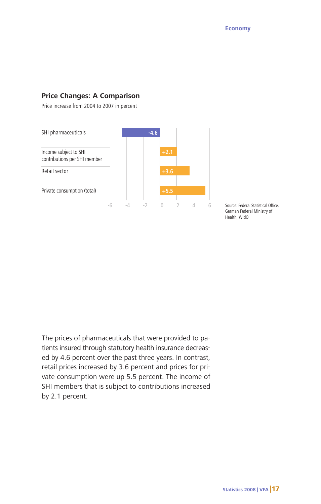#### **Price Changes: A Comparison**

Price increase from 2004 to 2007 in percent



Source: Federal Statistical Office, German Federal Ministry of Health, WIdO

The prices of pharmaceuticals that were provided to patients insured through statutory health insurance decreased by 4.6 percent over the past three years. In contrast, retail prices increased by 3.6 percent and prices for private consumption were up 5.5 percent. The income of SHI members that is subject to contributions increased by 2.1 percent.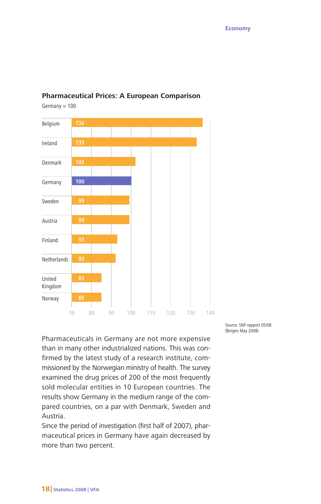

### **Pharmaceutical Prices: A European Comparison**

 $Germany = 100$ 

Pharmaceuticals in Germany are not more expensive than in many other industrialized nations. This was confirmed by the latest study of a research institute, commissioned by the Norwegian ministry of health. The survey examined the drug prices of 200 of the most frequently sold molecular entities in 10 European countries. The results show Germany in the medium range of the compared countries, on a par with Denmark, Sweden and Austria.

Since the period of investigation (first half of 2007), pharmaceutical prices in Germany have again decreased by more than two percent.

Source: SNF-rapport 05/08 (Bergen May 2008)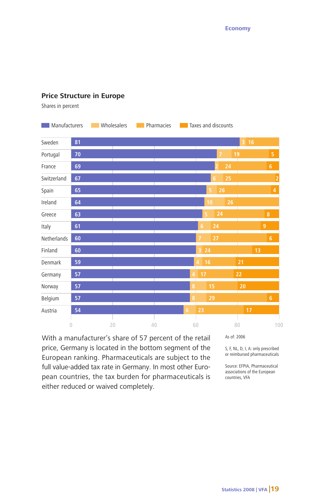#### **Price Structure in Europe**

Shares in percent



With a manufacturer's share of 57 percent of the retail price, Germany is located in the bottom segment of the European ranking. Pharmaceuticals are subject to the full value-added tax rate in Germany. In most other European countries, the tax burden for pharmaceuticals is either reduced or waived completely.

As of: 2006

S, F, NL, D, I, A: only prescribed or reimbursed pharmaceuticals

Source: EFPIA, Pharmaceutical associations of the European countries, VFA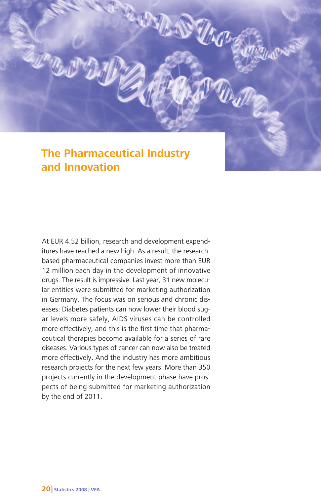# **The Pharmaceutical Industry and Innovation**

**UM DUGO** 

At EUR 4.52 billion, research and development expenditures have reached a new high. As a result, the researchbased pharmaceutical companies invest more than EUR 12 million each day in the development of innovative drugs. The result is impressive: Last year, 31 new molecular entities were submitted for marketing authorization in Germany. The focus was on serious and chronic diseases: Diabetes patients can now lower their blood sugar levels more safely, AIDS viruses can be controlled more effectively, and this is the first time that pharmaceutical therapies become available for a series of rare diseases. Various types of cancer can now also be treated more effectively. And the industry has more ambitious research projects for the next few years. More than 350 projects currently in the development phase have prospects of being submitted for marketing authorization by the end of 2011.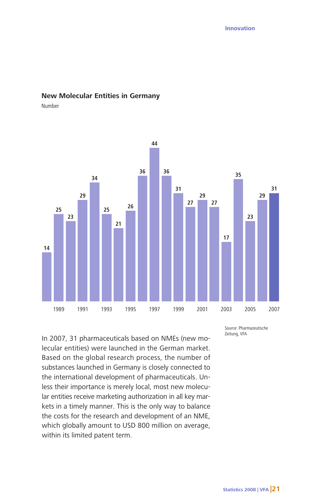#### **New Molecular Entities in Germany**

Number



In 2007, 31 pharmaceuticals based on NMEs (new molecular entities) were launched in the German market. Based on the global research process, the number of substances launched in Germany is closely connected to the international development of pharmaceuticals. Unless their importance is merely local, most new molecular entities receive marketing authorization in all key markets in a timely manner. This is the only way to balance the costs for the research and development of an NME, which globally amount to USD 800 million on average, within its limited patent term.

Source: Pharmazeutische Zeitung, VFA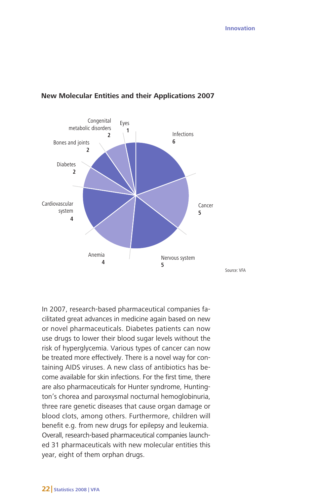

#### **New Molecular Entities and their Applications 2007**

In 2007, research-based pharmaceutical companies facilitated great advances in medicine again based on new or novel pharmaceuticals. Diabetes patients can now use drugs to lower their blood sugar levels without the risk of hyperglycemia. Various types of cancer can now be treated more effectively. There is a novel way for containing AIDS viruses. A new class of antibiotics has become available for skin infections. For the first time, there are also pharmaceuticals for Hunter syndrome, Huntington's chorea and paroxysmal nocturnal hemoglobinuria, three rare genetic diseases that cause organ damage or blood clots, among others. Furthermore, children will benefit e.g. from new drugs for epilepsy and leukemia. Overall, research-based pharmaceutical companies launched 31 pharmaceuticals with new molecular entities this year, eight of them orphan drugs.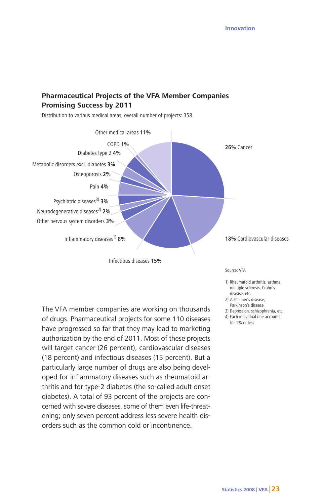## **Pharmaceutical Projects of the VFA Member Companies Promising Success by 2011**

Distribution to various medical areas, overall number of projects: 358



The VFA member companies are working on thousands of drugs. Pharmaceutical projects for some 110 diseases have progressed so far that they may lead to marketing authorization by the end of 2011. Most of these projects will target cancer (26 percent), cardiovascular diseases (18 percent) and infectious diseases (15 percent). But a particularly large number of drugs are also being developed for inflammatory diseases such as rheumatoid arthritis and for type-2 diabetes (the so-called adult onset diabetes). A total of 93 percent of the projects are concerned with severe diseases, some of them even life-threatening; only seven percent address less severe health disorders such as the common cold or incontinence.

Source: VFA

- 1) Rheumatoid arthritis, asthma, multiple sclerosis, Crohn's disease, etc.
- 2) Alzheimer's disease,
- Parkinson's disease
- 3) Depression, schizophrenia, etc.
- 4) Each individual one accounts for 1% or less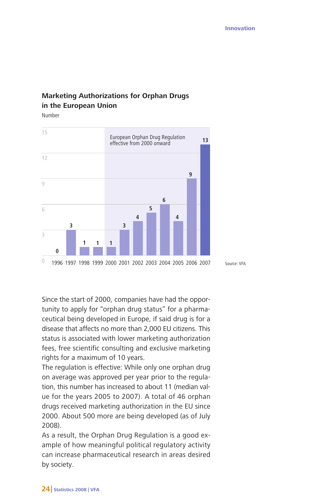Source: VFA

# **Marketing Authorizations for Orphan Drugs in the European Union**

Number



Since the start of 2000, companies have had the opportunity to apply for "orphan drug status" for a pharmaceutical being developed in Europe, if said drug is for a disease that affects no more than 2,000 EU citizens. This status is associated with lower marketing authorization fees, free scientific consulting and exclusive marketing rights for a maximum of 10 years.

The regulation is effective: While only one orphan drug on average was approved per year prior to the regulation, this number has increased to about 11 (median value for the years 2005 to 2007). A total of 46 orphan drugs received marketing authorization in the EU since 2000. About 500 more are being developed (as of July 2008).

As a result, the Orphan Drug Regulation is a good example of how meaningful political regulatory activity can increase pharmaceutical research in areas desired by society.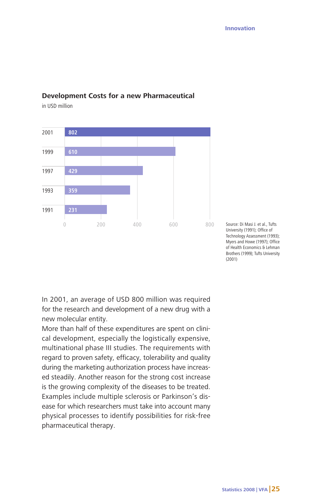

#### **Development Costs for a new Pharmaceutical**

in USD million

Source: Di Masi J. et al., Tufts University (1991); Office of Technology Assessment (1993); Myers and Howe (1997); Office of Health Economics & Lehman Brothers (1999); Tufts University (2001)

In 2001, an average of USD 800 million was required for the research and development of a new drug with a new molecular entity.

More than half of these expenditures are spent on clinical development, especially the logistically expensive, multinational phase III studies. The requirements with regard to proven safety, efficacy, tolerability and quality during the marketing authorization process have increased steadily. Another reason for the strong cost increase is the growing complexity of the diseases to be treated. Examples include multiple sclerosis or Parkinson's disease for which researchers must take into account many physical processes to identify possibilities for risk-free pharmaceutical therapy.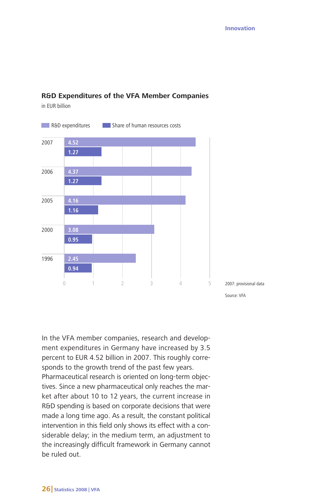

#### **R&D Expenditures of the VFA Member Companies**

in EUR billion

In the VFA member companies, research and development expenditures in Germany have increased by 3.5 percent to EUR 4.52 billion in 2007. This roughly corresponds to the growth trend of the past few years.

Pharmaceutical research is oriented on long-term objectives. Since a new pharmaceutical only reaches the market after about 10 to 12 years, the current increase in R&D spending is based on corporate decisions that were made a long time ago. As a result, the constant political intervention in this field only shows its effect with a considerable delay; in the medium term, an adjustment to the increasingly difficult framework in Germany cannot be ruled out.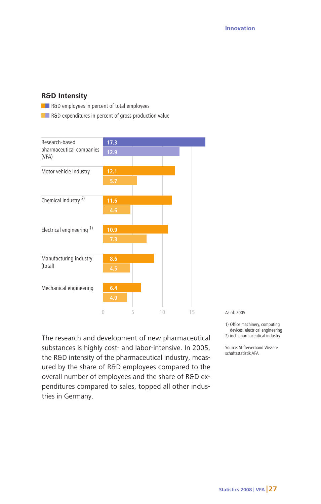#### **R&D Intensity**

**RAD** employees in percent of total employees

**RAD** expenditures in percent of gross production value



The research and development of new pharmaceutical substances is highly cost- and labor-intensive. In 2005, the R&D intensity of the pharmaceutical industry, measured by the share of R&D employees compared to the overall number of employees and the share of R&D expenditures compared to sales, topped all other industries in Germany.

As of: 2005

2) incl. pharmaceutical industry

Source: Stifterverband Wissenschaftsstatistik,VFA

<sup>1)</sup> Office machinery, computing devices, electrical engineering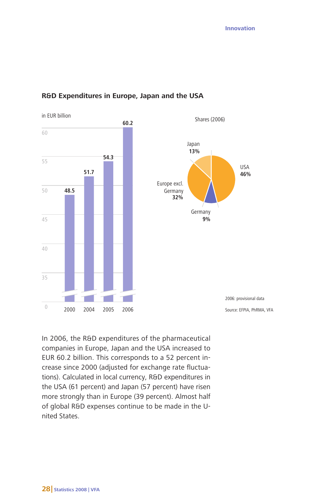



In 2006, the R&D expenditures of the pharmaceutical companies in Europe, Japan and the USA increased to EUR 60.2 billion. This corresponds to a 52 percent increase since 2000 (adjusted for exchange rate fluctuations). Calculated in local currency, R&D expenditures in the USA (61 percent) and Japan (57 percent) have risen more strongly than in Europe (39 percent). Almost half of global R&D expenses continue to be made in the United States.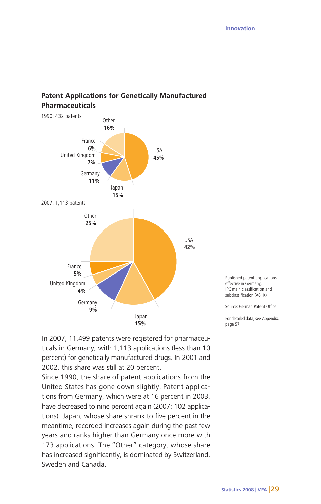

# **Patent Applications for Genetically Manufactured Pharmaceuticals**

Published patent applications effective in Germany, IPC main classification and subclassification (A61K)

Source: German Patent Office

For detailed data, see Appendix, page 57

In 2007, 11,499 patents were registered for pharmaceuticals in Germany, with 1,113 applications (less than 10 percent) for genetically manufactured drugs. In 2001 and 2002, this share was still at 20 percent.

Since 1990, the share of patent applications from the United States has gone down slightly. Patent applications from Germany, which were at 16 percent in 2003, have decreased to nine percent again (2007: 102 applications). Japan, whose share shrank to five percent in the meantime, recorded increases again during the past few years and ranks higher than Germany once more with 173 applications. The "Other" category, whose share has increased significantly, is dominated by Switzerland, Sweden and Canada.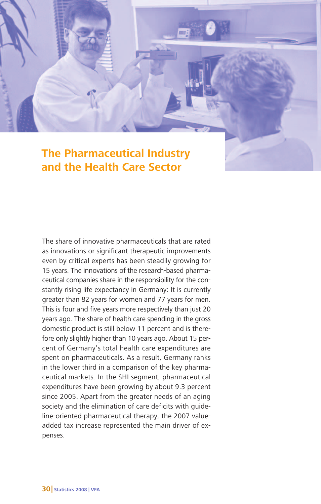# **The Pharmaceutical Industry and the Health Care Sector**

The share of innovative pharmaceuticals that are rated as innovations or significant therapeutic improvements even by critical experts has been steadily growing for 15 years. The innovations of the research-based pharmaceutical companies share in the responsibility for the constantly rising life expectancy in Germany: It is currently greater than 82 years for women and 77 years for men. This is four and five years more respectively than just 20 years ago. The share of health care spending in the gross domestic product is still below 11 percent and is therefore only slightly higher than 10 years ago. About 15 percent of Germany's total health care expenditures are spent on pharmaceuticals. As a result, Germany ranks in the lower third in a comparison of the key pharmaceutical markets. In the SHI segment, pharmaceutical expenditures have been growing by about 9.3 percent since 2005. Apart from the greater needs of an aging society and the elimination of care deficits with guideline-oriented pharmaceutical therapy, the 2007 valueadded tax increase represented the main driver of expenses.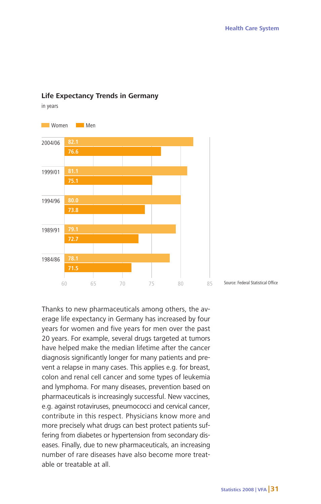

### **Life Expectancy Trends in Germany**

in years

Thanks to new pharmaceuticals among others, the average life expectancy in Germany has increased by four years for women and five years for men over the past 20 years. For example, several drugs targeted at tumors have helped make the median lifetime after the cancer diagnosis significantly longer for many patients and prevent a relapse in many cases. This applies e.g. for breast, colon and renal cell cancer and some types of leukemia and lymphoma. For many diseases, prevention based on pharmaceuticals is increasingly successful. New vaccines, e.g. against rotaviruses, pneumococci and cervical cancer, contribute in this respect. Physicians know more and more precisely what drugs can best protect patients suffering from diabetes or hypertension from secondary diseases. Finally, due to new pharmaceuticals, an increasing number of rare diseases have also become more treatable or treatable at all.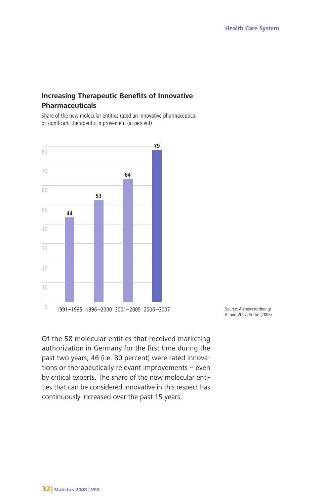# **Increasing Therapeutic Benefits of Innovative Pharmaceuticals**

Share of the new molecular entities rated an innovative pharmaceutical or significant therapeutic improvement (in percent)



Source: Arzneiverordnungs-Report 2007, Fricke (2008)

Of the 58 molecular entities that received marketing authorization in Germany for the first time during the past two years, 46 (i.e. 80 percent) were rated innovations or therapeutically relevant improvements – even by critical experts. The share of the new molecular entities that can be considered innovative in this respect has continuously increased over the past 15 years.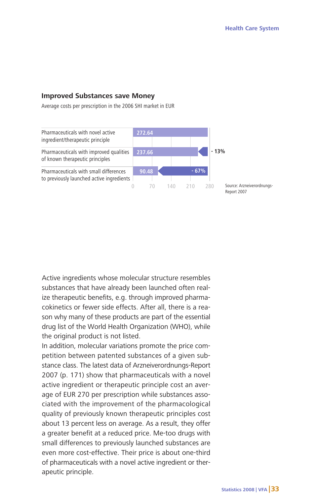#### **Improved Substances save Money**

Average costs per prescription in the 2006 SHI market in EUR



Active ingredients whose molecular structure resembles substances that have already been launched often realize therapeutic benefits, e.g. through improved pharmacokinetics or fewer side effects. After all, there is a reason why many of these products are part of the essential drug list of the World Health Organization (WHO), while the original product is not listed.

In addition, molecular variations promote the price competition between patented substances of a given substance class. The latest data of Arzneiverordnungs-Report 2007 (p. 171) show that pharmaceuticals with a novel active ingredient or therapeutic principle cost an average of EUR 270 per prescription while substances associated with the improvement of the pharmacological quality of previously known therapeutic principles cost about 13 percent less on average. As a result, they offer a greater benefit at a reduced price. Me-too drugs with small differences to previously launched substances are even more cost-effective. Their price is about one-third of pharmaceuticals with a novel active ingredient or therapeutic principle.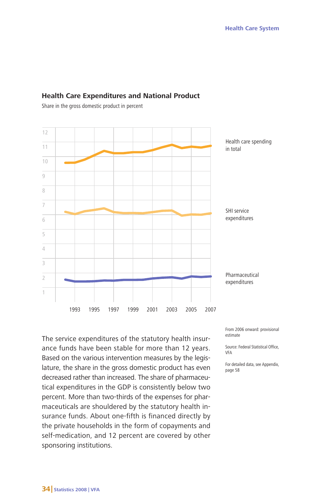

#### **Health Care Expenditures and National Product**

Share in the gross domestic product in percent

The service expenditures of the statutory health insurance funds have been stable for more than 12 years. Based on the various intervention measures by the legislature, the share in the gross domestic product has even decreased rather than increased. The share of pharmaceutical expenditures in the GDP is consistently below two percent. More than two-thirds of the expenses for pharmaceuticals are shouldered by the statutory health insurance funds. About one-fifth is financed directly by the private households in the form of copayments and self-medication, and 12 percent are covered by other sponsoring institutions.

From 2006 onward: provisional estimate

Source: Federal Statistical Office, VFA

For detailed data, see Appendix, page 58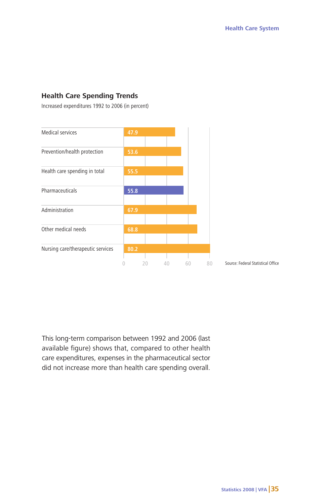#### **Health Care Spending Trends**

Increased expenditures 1992 to 2006 (in percent)



This long-term comparison between 1992 and 2006 (last available figure) shows that, compared to other health care expenditures, expenses in the pharmaceutical sector did not increase more than health care spending overall.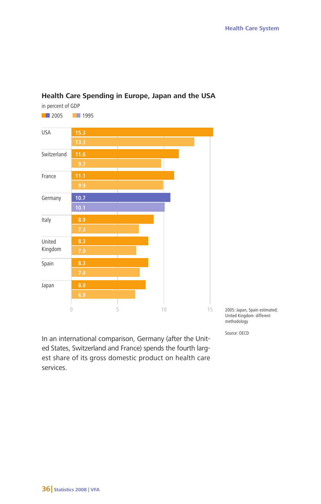

# **Health Care Spending in Europe, Japan and the USA**

2005: Japan, Spain estimated; United Kingdom: different methodology

Source: OECD

In an international comparison, Germany (after the United States, Switzerland and France) spends the fourth largest share of its gross domestic product on health care services.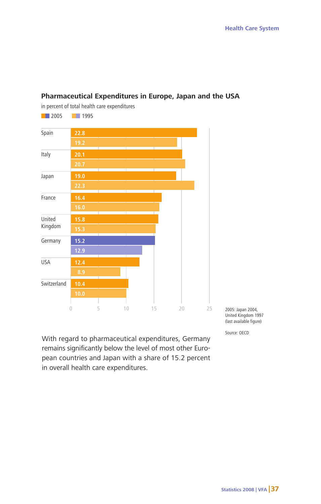

### **Pharmaceutical Expenditures in Europe, Japan and the USA**

With regard to pharmaceutical expenditures, Germany remains significantly below the level of most other European countries and Japan with a share of 15.2 percent in overall health care expenditures.

2005: Japan 2004, United Kingdom 1997 (last available figure)

Source: OECD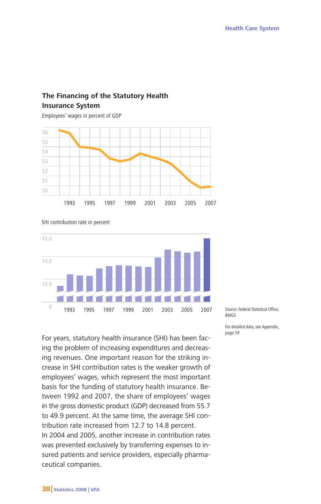# **The Financing of the Statutory Health Insurance System**

Employees' wages in percent of GDP

SHI contribution rate in percent





For years, statutory health insurance (SHI) has been facing the problem of increasing expenditures and decreasing revenues. One important reason for the striking increase in SHI contribution rates is the weaker growth of employees' wages, which represent the most important basis for the funding of statutory health insurance. Between 1992 and 2007, the share of employees' wages in the gross domestic product (GDP) decreased from 55.7 to 49.9 percent. At the same time, the average SHI contribution rate increased from 12.7 to 14.8 percent. In 2004 and 2005, another increase in contribution rates was prevented exclusively by transferring expenses to insured patients and service providers, especially pharmaceutical companies.

Source: Federal Statistical Office, **BMGS** 

For detailed data, see Appendix, page 59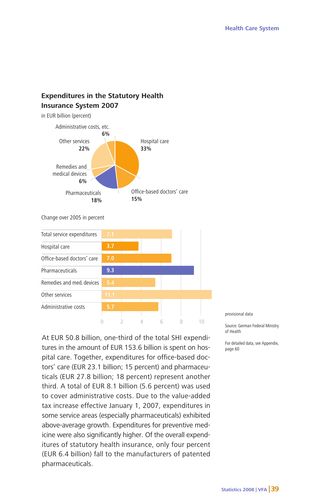# **Expenditures in the Statutory Health Insurance System 2007**



Change over 2005 in percent



At EUR 50.8 billion, one-third of the total SHI expenditures in the amount of EUR 153.6 billion is spent on hospital care. Together, expenditures for office-based doctors' care (EUR 23.1 billion; 15 percent) and pharmaceuticals (EUR 27.8 billion; 18 percent) represent another third. A total of EUR 8.1 billion (5.6 percent) was used to cover administrative costs. Due to the value-added tax increase effective January 1, 2007, expenditures in some service areas (especially pharmaceuticals) exhibited above-average growth. Expenditures for preventive medicine were also significantly higher. Of the overall expenditures of statutory health insurance, only four percent (EUR 6.4 billion) fall to the manufacturers of patented pharmaceuticals.

provisional data

Source: German Federal Ministry of Health

For detailed data, see Appendix, page 60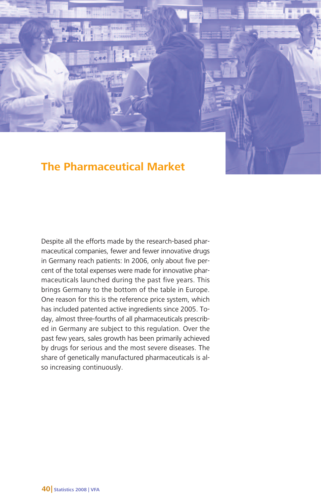

ind

Despite all the efforts made by the research-based pharmaceutical companies, fewer and fewer innovative drugs in Germany reach patients: In 2006, only about five percent of the total expenses were made for innovative pharmaceuticals launched during the past five years. This brings Germany to the bottom of the table in Europe. One reason for this is the reference price system, which has included patented active ingredients since 2005. Today, almost three-fourths of all pharmaceuticals prescribed in Germany are subject to this regulation. Over the past few years, sales growth has been primarily achieved by drugs for serious and the most severe diseases. The share of genetically manufactured pharmaceuticals is also increasing continuously.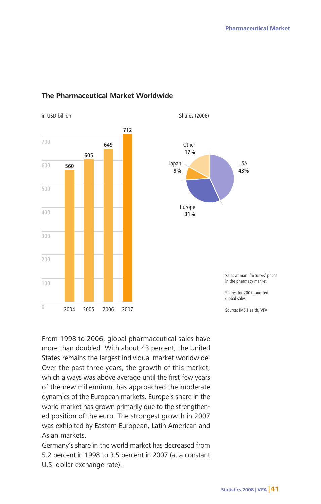

in USD billion Shares (2006)





Sales at manufacturers' prices in the pharmacy market Shares for 2007: audited global sales

From 1998 to 2006, global pharmaceutical sales have more than doubled. With about 43 percent, the United States remains the largest individual market worldwide. Over the past three years, the growth of this market, which always was above average until the first few years of the new millennium, has approached the moderate dynamics of the European markets. Europe's share in the world market has grown primarily due to the strengthened position of the euro. The strongest growth in 2007 was exhibited by Eastern European, Latin American and Asian markets.

Germany's share in the world market has decreased from 5.2 percent in 1998 to 3.5 percent in 2007 (at a constant U.S. dollar exchange rate).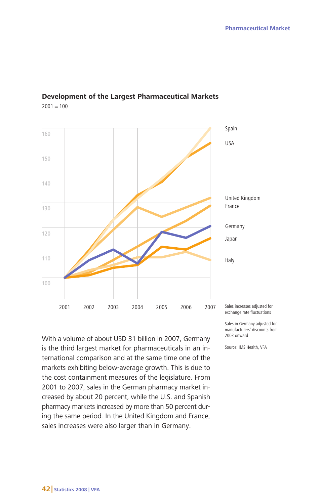

# **Development of the Largest Pharmaceutical Markets**

 $2001 = 100$ 

With a volume of about USD 31 billion in 2007, Germany is the third largest market for pharmaceuticals in an international comparison and at the same time one of the markets exhibiting below-average growth. This is due to the cost containment measures of the legislature. From 2001 to 2007, sales in the German pharmacy market increased by about 20 percent, while the U.S. and Spanish pharmacy markets increased by more than 50 percent during the same period. In the United Kingdom and France, sales increases were also larger than in Germany.

Sales in Germany adjusted for

manufacturers' discounts from 2003 onward

Source: IMS Health, VFA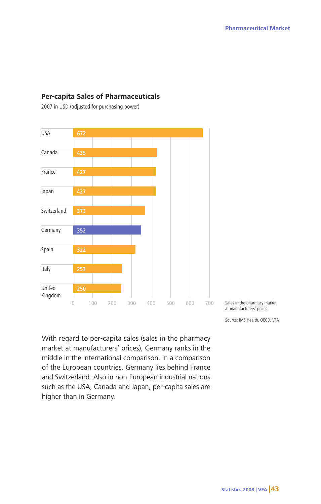

# **Per-capita Sales of Pharmaceuticals**

2007 in USD (adjusted for purchasing power)

Sales in the pharmacy market at manufacturers' prices

Source: IMS Health, OECD, VFA

With regard to per-capita sales (sales in the pharmacy market at manufacturers' prices), Germany ranks in the middle in the international comparison. In a comparison of the European countries, Germany lies behind France and Switzerland. Also in non-European industrial nations such as the USA, Canada and Japan, per-capita sales are higher than in Germany.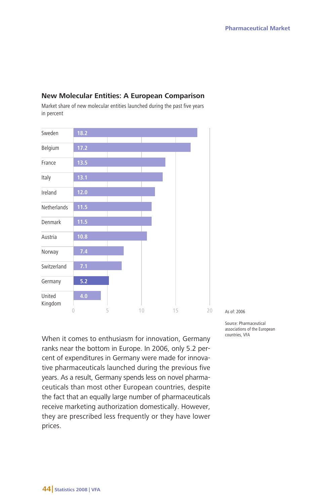

# **New Molecular Entities: A European Comparison**

Market share of new molecular entities launched during the past five years in percent

When it comes to enthusiasm for innovation, Germany ranks near the bottom in Europe. In 2006, only 5.2 percent of expenditures in Germany were made for innovative pharmaceuticals launched during the previous five years. As a result, Germany spends less on novel pharmaceuticals than most other European countries, despite the fact that an equally large number of pharmaceuticals receive marketing authorization domestically. However, they are prescribed less frequently or they have lower prices.

As of: 2006

Source: Pharmaceutical associations of the European countries, VFA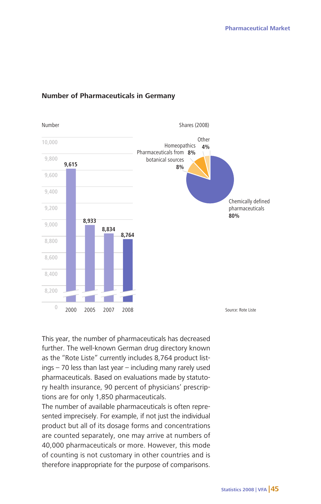

### **Number of Pharmaceuticals in Germany**

This year, the number of pharmaceuticals has decreased further. The well-known German drug directory known as the "Rote Liste" currently includes 8,764 product listings – 70 less than last year – including many rarely used pharmaceuticals. Based on evaluations made by statutory health insurance, 90 percent of physicians' prescriptions are for only 1,850 pharmaceuticals.

The number of available pharmaceuticals is often represented imprecisely. For example, if not just the individual product but all of its dosage forms and concentrations are counted separately, one may arrive at numbers of 40,000 pharmaceuticals or more. However, this mode of counting is not customary in other countries and is therefore inappropriate for the purpose of comparisons.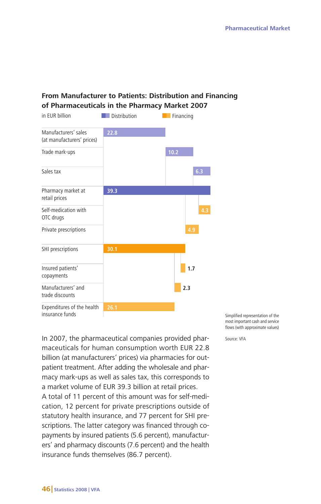# **From Manufacturer to Patients: Distribution and Financing of Pharmaceuticals in the Pharmacy Market 2007**



In 2007, the pharmaceutical companies provided pharmaceuticals for human consumption worth EUR 22.8 billion (at manufacturers' prices) via pharmacies for outpatient treatment. After adding the wholesale and pharmacy mark-ups as well as sales tax, this corresponds to a market volume of EUR 39.3 billion at retail prices.

A total of 11 percent of this amount was for self-medication, 12 percent for private prescriptions outside of statutory health insurance, and 77 percent for SHI prescriptions. The latter category was financed through copayments by insured patients (5.6 percent), manufacturers' and pharmacy discounts (7.6 percent) and the health insurance funds themselves (86.7 percent).

Simplified representation of the most important cash and service flows (with approximate values)

Source: VFA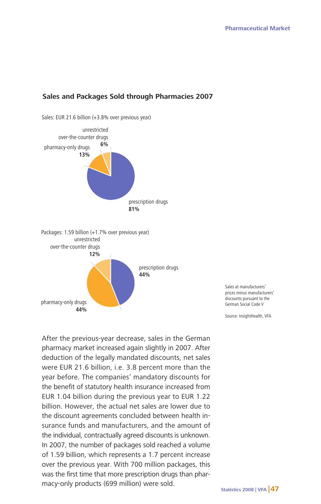#### **Sales and Packages Sold through Pharmacies 2007**

Sales: EUR 21.6 billion (+3.8% over previous year)



Sales at manufacturers' prices minus manufacturers' discounts pursuant to the German Social Code V

Source: InsightHealth, VFA

After the previous-year decrease, sales in the German pharmacy market increased again slightly in 2007. After deduction of the legally mandated discounts, net sales were EUR 21.6 billion, i.e. 3.8 percent more than the year before. The companies' mandatory discounts for the benefit of statutory health insurance increased from EUR 1.04 billion during the previous year to EUR 1.22 billion. However, the actual net sales are lower due to the discount agreements concluded between health insurance funds and manufacturers, and the amount of the individual, contractually agreed discounts is unknown. In 2007, the number of packages sold reached a volume of 1.59 billion, which represents a 1.7 percent increase over the previous year. With 700 million packages, this was the first time that more prescription drugs than pharmacy-only products (699 million) were sold.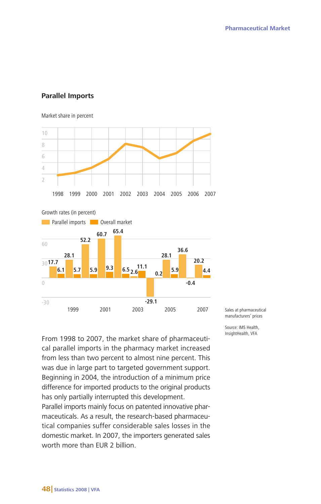#### **Parallel Imports**

#### Market share in percent



Growth rates (in percent)



From 1998 to 2007, the market share of pharmaceutical parallel imports in the pharmacy market increased from less than two percent to almost nine percent. This was due in large part to targeted government support. Beginning in 2004, the introduction of a minimum price difference for imported products to the original products has only partially interrupted this development.

Parallel imports mainly focus on patented innovative pharmaceuticals. As a result, the research-based pharmaceutical companies suffer considerable sales losses in the domestic market. In 2007, the importers generated sales worth more than EUR 2 billion.

Sales at pharmaceutical manufacturers' prices

Source: IMS Health, InsightHealth, VFA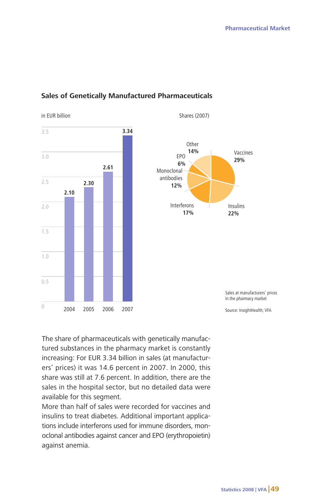

#### **Sales of Genetically Manufactured Pharmaceuticals**



Sales at manufacturers' prices in the pharmacy market

The share of pharmaceuticals with genetically manufactured substances in the pharmacy market is constantly increasing: For EUR 3.34 billion in sales (at manufacturers' prices) it was 14.6 percent in 2007. In 2000, this share was still at 7.6 percent. In addition, there are the sales in the hospital sector, but no detailed data were available for this segment.

More than half of sales were recorded for vaccines and insulins to treat diabetes. Additional important applications include interferons used for immune disorders, monoclonal antibodies against cancer and EPO (erythropoietin) against anemia.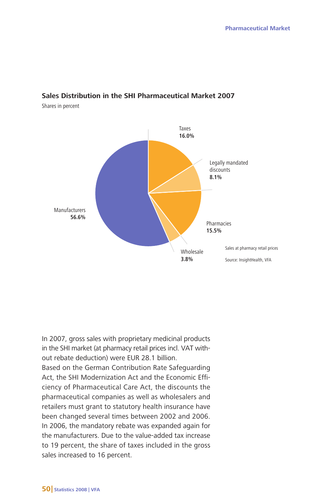#### **Sales Distribution in the SHI Pharmaceutical Market 2007**

Shares in percent



In 2007, gross sales with proprietary medicinal products in the SHI market (at pharmacy retail prices incl. VAT without rebate deduction) were EUR 28.1 billion.

Based on the German Contribution Rate Safeguarding Act, the SHI Modernization Act and the Economic Efficiency of Pharmaceutical Care Act, the discounts the pharmaceutical companies as well as wholesalers and retailers must grant to statutory health insurance have been changed several times between 2002 and 2006. In 2006, the mandatory rebate was expanded again for the manufacturers. Due to the value-added tax increase to 19 percent, the share of taxes included in the gross sales increased to 16 percent.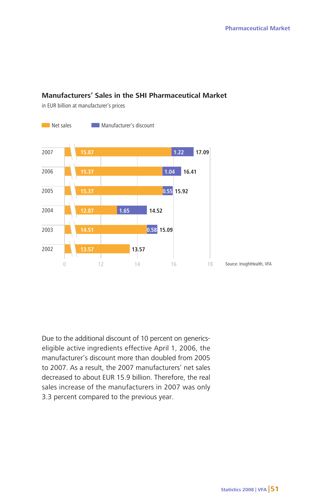### **Manufacturers' Sales in the SHI Pharmaceutical Market**

in EUR billion at manufacturer's prices



Due to the additional discount of 10 percent on genericseligible active ingredients effective April 1, 2006, the manufacturer's discount more than doubled from 2005 to 2007. As a result, the 2007 manufacturers' net sales decreased to about EUR 15.9 billion. Therefore, the real sales increase of the manufacturers in 2007 was only 3.3 percent compared to the previous year.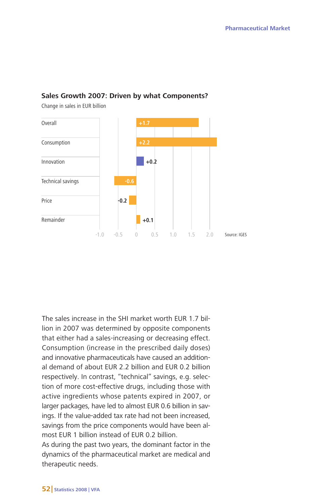#### **Sales Growth 2007: Driven by what Components?**

Change in sales in EUR billion



The sales increase in the SHI market worth EUR 1.7 billion in 2007 was determined by opposite components that either had a sales-increasing or decreasing effect. Consumption (increase in the prescribed daily doses) and innovative pharmaceuticals have caused an additional demand of about EUR 2.2 billion and EUR 0.2 billion respectively. In contrast, "technical" savings, e.g. selection of more cost-effective drugs, including those with active ingredients whose patents expired in 2007, or larger packages, have led to almost EUR 0.6 billion in savings. If the value-added tax rate had not been increased, savings from the price components would have been almost EUR 1 billion instead of EUR 0.2 billion.

As during the past two years, the dominant factor in the dynamics of the pharmaceutical market are medical and therapeutic needs.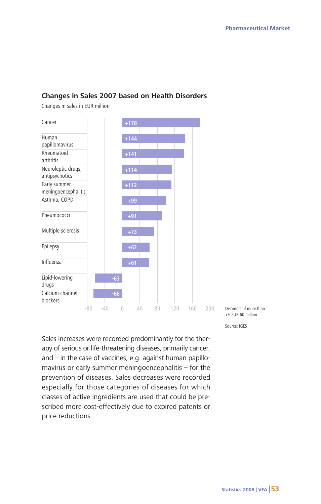#### **Changes in Sales 2007 based on Health Disorders**

Changes in sales in EUR million



Disorders of more than +/- EUR 60 million

Source: IGES

Sales increases were recorded predominantly for the therapy of serious or life-threatening diseases, primarily cancer, and – in the case of vaccines, e.g. against human papillomavirus or early summer meningoencephalitis – for the prevention of diseases. Sales decreases were recorded especially for those categories of diseases for which classes of active ingredients are used that could be prescribed more cost-effectively due to expired patents or price reductions.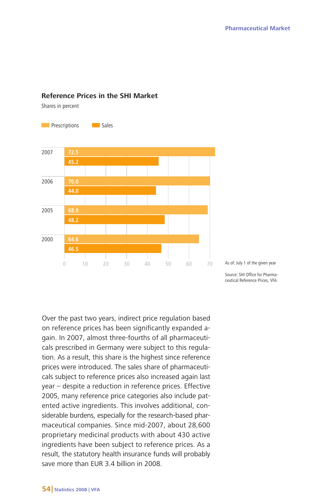#### **Reference Prices in the SHI Market**

Shares in percent



Over the past two years, indirect price regulation based on reference prices has been significantly expanded again. In 2007, almost three-fourths of all pharmaceuticals prescribed in Germany were subject to this regulation. As a result, this share is the highest since reference prices were introduced. The sales share of pharmaceuticals subject to reference prices also increased again last year – despite a reduction in reference prices. Effective 2005, many reference price categories also include patented active ingredients. This involves additional, considerable burdens, especially for the research-based pharmaceutical companies. Since mid-2007, about 28,600 proprietary medicinal products with about 430 active ingredients have been subject to reference prices. As a result, the statutory health insurance funds will probably save more than EUR 3.4 billion in 2008.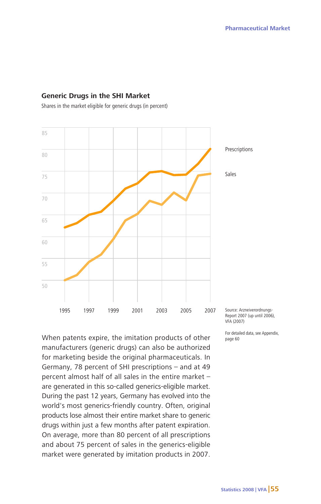#### **Generic Drugs in the SHI Market**

Shares in the market eligible for generic drugs (in percent)



When patents expire, the imitation products of other manufacturers (generic drugs) can also be authorized for marketing beside the original pharmaceuticals. In Germany, 78 percent of SHI prescriptions – and at 49 percent almost half of all sales in the entire market – are generated in this so-called generics-eligible market. During the past 12 years, Germany has evolved into the world's most generics-friendly country. Often, original products lose almost their entire market share to generic drugs within just a few months after patent expiration. On average, more than 80 percent of all prescriptions and about 75 percent of sales in the generics-eligible market were generated by imitation products in 2007.

Source: Arzneiverordnungs-Report 2007 (up until 2006), VFA (2007)

For detailed data, see Appendix, page 60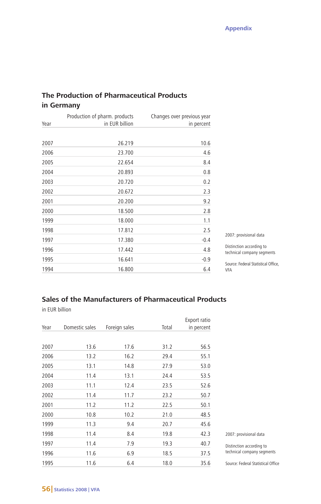# **The Production of Pharmaceutical Products in Germany**

| Year | Production of pharm. products<br>in EUR billion | Changes over previous year<br>in percent |
|------|-------------------------------------------------|------------------------------------------|
| 2007 | 26.219                                          | 10.6                                     |
| 2006 | 23.700                                          | 4.6                                      |
| 2005 | 22.654                                          | 8.4                                      |
| 2004 | 20.893                                          | 0.8                                      |
| 2003 | 20.720                                          | 0.2                                      |
| 2002 | 20.672                                          | 2.3                                      |
| 2001 | 20.200                                          | 9.2                                      |
| 2000 | 18.500                                          | 2.8                                      |
| 1999 | 18.000                                          | 1.1                                      |
| 1998 | 17.812                                          | 2.5                                      |
| 1997 | 17.380                                          | $-0.4$                                   |
| 1996 | 17.442                                          | 4.8                                      |
| 1995 | 16.641                                          | $-0.9$                                   |
| 1994 | 16.800                                          | 6.4                                      |

2007: provisional data

Distinction according to technical company segments

Source: Federal Statistical Office, VFA

# **Sales of the Manufacturers of Pharmaceutical Products**

in EUR billion

|      |                |               |       | Export ratio |
|------|----------------|---------------|-------|--------------|
| Year | Domestic sales | Foreign sales | Total | in percent   |
|      |                |               |       |              |
| 2007 | 13.6           | 17.6          | 31.2  | 56.5         |
| 2006 | 13.2           | 16.2          | 29.4  | 55.1         |
| 2005 | 13.1           | 14.8          | 27.9  | 53.0         |
| 2004 | 11.4           | 13.1          | 24.4  | 53.5         |
| 2003 | 11.1           | 12.4          | 23.5  | 52.6         |
| 2002 | 11.4           | 11.7          | 23.2  | 50.7         |
| 2001 | 11.2           | 11.2          | 22.5  | 50.1         |
| 2000 | 10.8           | 10.2          | 21.0  | 48.5         |
| 1999 | 11.3           | 9.4           | 20.7  | 45.6         |
| 1998 | 11.4           | 8.4           | 19.8  | 42.3         |
| 1997 | 11.4           | 7.9           | 19.3  | 40.7         |
| 1996 | 11.6           | 6.9           | 18.5  | 37.5         |
| 1995 | 11.6           | 6.4           | 18.0  | 35.6         |

2007: provisional data

Distinction according to technical company segments

Source: Federal Statistical Office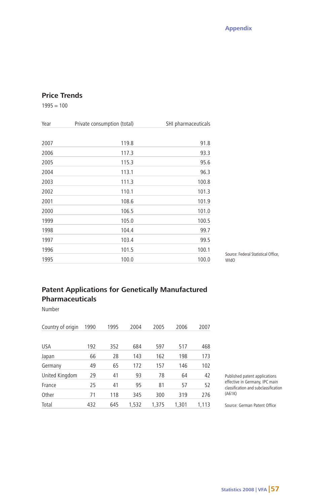# **Price Trends**

 $1995 = 100$ 

| Year | Private consumption (total) | SHI pharmaceuticals |
|------|-----------------------------|---------------------|
| 2007 | 119.8                       | 91.8                |
| 2006 | 117.3                       | 93.3                |
| 2005 | 115.3                       | 95.6                |
| 2004 | 113.1                       | 96.3                |
| 2003 | 111.3                       | 100.8               |
| 2002 | 110.1                       | 101.3               |
| 2001 | 108.6                       | 101.9               |
| 2000 | 106.5                       | 101.0               |
| 1999 | 105.0                       | 100.5               |
| 1998 | 104.4                       | 99.7                |
| 1997 | 103.4                       | 99.5                |
| 1996 | 101.5                       | 100.1               |
| 1995 | 100.0                       | 100.0               |

Source: Federal Statistical Office, WIdO

# **Patent Applications for Genetically Manufactured Pharmaceuticals**

Number

| Country of origin | 1990 | 1995 | 2004  | 2005  | 2006  | 2007  |
|-------------------|------|------|-------|-------|-------|-------|
|                   |      |      |       |       |       |       |
| <b>USA</b>        | 192  | 352  | 684   | 597   | 517   | 468   |
| Japan             | 66   | 28   | 143   | 162   | 198   | 173   |
| Germany           | 49   | 65   | 172   | 157   | 146   | 102   |
| United Kingdom    | 29   | 41   | 93    | 78    | 64    | 42    |
| France            | 25   | 41   | 95    | 81    | 57    | 52    |
| Other             | 71   | 118  | 345   | 300   | 319   | 276   |
| Total             | 432  | 645  | 1.532 | 1.375 | 1,301 | 1.113 |

Published patent applications effective in Germany, IPC main classification and subclassification (A61K)

Source: German Patent Office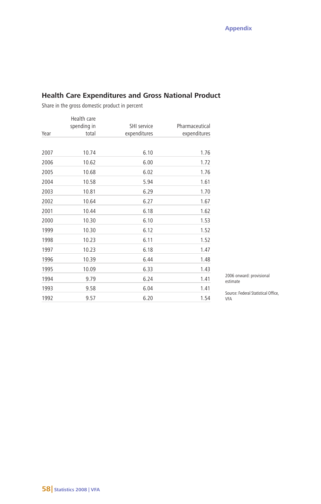| Year | Health care<br>spending in<br>total | SHI service<br>expenditures | Pharmaceutical<br>expenditures |
|------|-------------------------------------|-----------------------------|--------------------------------|
|      |                                     |                             |                                |
| 2007 | 10.74                               | 6.10                        | 1.76                           |
| 2006 | 10.62                               | 6.00                        | 1.72                           |
| 2005 | 10.68                               | 6.02                        | 1.76                           |
| 2004 | 10.58                               | 5.94                        | 1.61                           |
| 2003 | 10.81                               | 6.29                        | 1.70                           |
| 2002 | 10.64                               | 6.27                        | 1.67                           |
| 2001 | 10.44                               | 6.18                        | 1.62                           |
| 2000 | 10.30                               | 6.10                        | 1.53                           |
| 1999 | 10.30                               | 6.12                        | 1.52                           |
| 1998 | 10.23                               | 6.11                        | 1.52                           |
| 1997 | 10.23                               | 6.18                        | 1.47                           |
| 1996 | 10.39                               | 6.44                        | 1.48                           |
| 1995 | 10.09                               | 6.33                        | 1.43                           |
| 1994 | 9.79                                | 6.24                        | 1.41                           |
| 1993 | 9.58                                | 6.04                        | 1.41                           |
| 1992 | 9.57                                | 6.20                        | 1.54                           |

# **Health Care Expenditures and Gross National Product**

Share in the gross domestic product in percent

2006 onward: provisional estimate

Source: Federal Statistical Office, VFA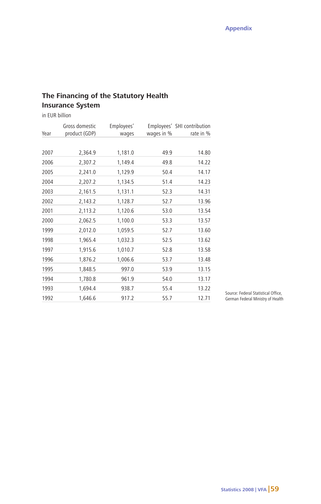# **The Financing of the Statutory Health Insurance System**

in EUR billion

| Year | Gross domestic<br>product (GDP) | Employees'<br>wages | wages in % | Employees' SHI contribution<br>rate in % |
|------|---------------------------------|---------------------|------------|------------------------------------------|
| 2007 | 2,364.9                         | 1,181.0             | 49.9       | 14.80                                    |
| 2006 | 2,307.2                         | 1,149.4             | 49.8       | 14.22                                    |
| 2005 | 2,241.0                         | 1,129.9             | 50.4       | 14.17                                    |
| 2004 | 2,207.2                         | 1,134.5             | 51.4       | 14.23                                    |
| 2003 | 2,161.5                         | 1,131.1             | 52.3       | 14.31                                    |
| 2002 | 2,143.2                         | 1,128.7             | 52.7       | 13.96                                    |
| 2001 | 2,113.2                         | 1,120.6             | 53.0       | 13.54                                    |
| 2000 | 2,062.5                         | 1,100.0             | 53.3       | 13.57                                    |
| 1999 | 2,012.0                         | 1,059.5             | 52.7       | 13.60                                    |
| 1998 | 1,965.4                         | 1,032.3             | 52.5       | 13.62                                    |
| 1997 | 1,915.6                         | 1,010.7             | 52.8       | 13.58                                    |
| 1996 | 1,876.2                         | 1,006.6             | 53.7       | 13.48                                    |
| 1995 | 1,848.5                         | 997.0               | 53.9       | 13.15                                    |
| 1994 | 1,780.8                         | 961.9               | 54.0       | 13.17                                    |
| 1993 | 1,694.4                         | 938.7               | 55.4       | 13.22                                    |
| 1992 | 1,646.6                         | 917.2               | 55.7       | 12.71                                    |

Source: Federal Statistical Office, German Federal Ministry of Health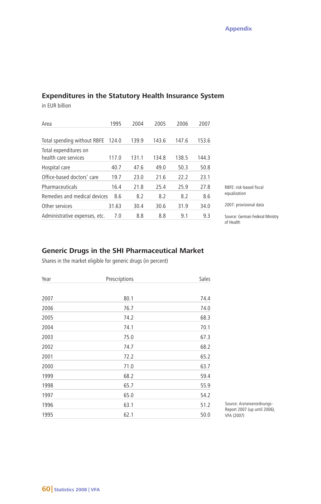# **Expenditures in the Statutory Health Insurance System**

in EUR billion

| Area                                          | 1995  | 2004  | 2005  | 2006  | 2007  |                                              |
|-----------------------------------------------|-------|-------|-------|-------|-------|----------------------------------------------|
|                                               |       | 139.9 | 143.6 | 147.6 | 153.6 |                                              |
| Total spending without RBFE 124.0             |       |       |       |       |       |                                              |
| Total expenditures on<br>health care services | 117.0 | 131.1 | 134.8 | 138.5 | 144.3 |                                              |
| Hospital care                                 | 40.7  | 47.6  | 49.0  | 50.3  | 50.8  |                                              |
| Office-based doctors' care                    | 19.7  | 23.0  | 21.6  | 22.2  | 23.1  |                                              |
| Pharmaceuticals                               | 16.4  | 21.8  | 25.4  | 25.9  | 27.8  | RBFF: risk-based fiscal                      |
| Remedies and medical devices                  | 8.6   | 8.2   | 8.2   | 8.2   | 8.6   | equalization                                 |
| Other services                                | 31.63 | 30.4  | 30.6  | 31.9  | 34.0  | 2007: provisional data                       |
| Administrative expenses, etc.                 | 7.0   | 8.8   | 8.8   | 9.1   | 9.3   | Source: German Federal Ministry<br>of Health |

# **Generic Drugs in the SHI Pharmaceutical Market**

Shares in the market eligible for generic drugs (in percent)

| Year | Prescriptions | Sales |
|------|---------------|-------|
| 2007 | 80.1          | 74.4  |
| 2006 | 76.7          | 74.0  |
| 2005 | 74.2          | 68.3  |
| 2004 | 74.1          | 70.1  |
| 2003 | 75.0          | 67.3  |
| 2002 | 74.7          | 68.2  |
| 2001 | 72.2          | 65.2  |
| 2000 | 71.0          | 63.7  |
| 1999 | 68.2          | 59.4  |
| 1998 | 65.7          | 55.9  |
| 1997 | 65.0          | 54.2  |
| 1996 | 63.1          | 51.2  |
| 1995 | 62.1          | 50.0  |

Source: Arzneiverordnungs-Report 2007 (up until 2006), VFA (2007)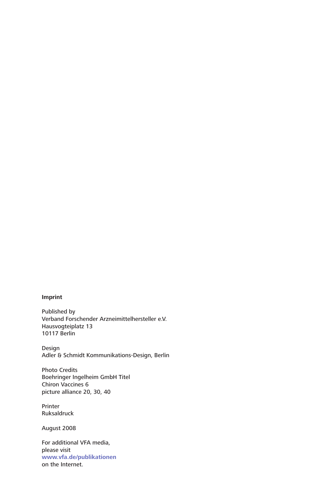#### **Imprint**

Published by Verband Forschender Arzneimittelhersteller e.V. Hausvogteiplatz 13 10117 Berlin

Design Adler & Schmidt Kommunikations-Design, Berlin

Photo Credits Boehringer Ingelheim GmbH Titel Chiron Vaccines 6 picture alliance 20, 30, 40

Printer Ruksaldruck

August 2008

For additional VFA media, please visit **www.vfa.de/publikationen** on the Internet.